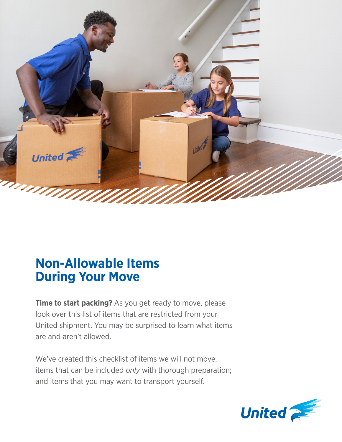

# **Non-Allowable Items During Your Move**

**Time to start packing?** As you get ready to move, please look over this list of items that are restricted from your United shipment. You may be surprised to learn what items are and aren't allowed.

We've created this checklist of items we will not move, items that can be included *only* with thorough preparation; and items that you may want to transport yourself.

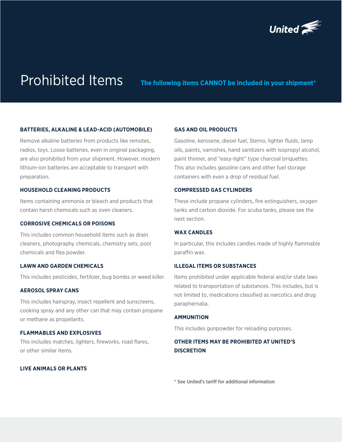

Prohibited Items **The following items CANNOT be included in your shipment\*** 

### **BATTERIES, ALKALINE & LEAD-ACID (AUTOMOBILE)**

Remove alkaline batteries from products like remotes, radios, toys. Loose batteries, even in original packaging, are also prohibited from your shipment. However, modern lithium-ion batteries are acceptable to transport with preparation.

### **HOUSEHOLD CLEANING PRODUCTS**

Items containing ammonia or bleach and products that contain harsh chemicals such as oven cleaners.

### **CORROSIVE CHEMICALS OR POISONS**

This includes common household items such as drain cleaners, photography chemicals, chemistry sets, pool chemicals and flea powder.

### **LAWN AND GARDEN CHEMICALS**

This includes pesticides, fertilizer, bug bombs or weed killer.

### **AEROSOL SPRAY CANS**

This includes hairspray, insect repellent and sunscreens, cooking spray and any other can that may contain propane or methane as propellants.

### **FLAMMABLES AND EXPLOSIVES**

This includes matches, lighters, fireworks, road flares, or other similar items.

# **LIVE ANIMALS OR PLANTS**

### **GAS AND OIL PRODUCTS**

Gasoline, kerosene, diesel fuel, Sterno, lighter fluids, lamp oils, paints, varnishes, hand sanitizers with isopropyl alcohol, paint thinner, and "easy-light" type charcoal briquettes. This also includes gasoline cans and other fuel storage containers with even a drop of residual fuel.

### **COMPRESSED GAS CYLINDERS**

These include propane cylinders, fire extinguishers, oxygen tanks and carbon dioxide. For scuba tanks, please see the next section.

### **WAX CANDLES**

In particular, this includes candles made of highly flammable paraffin wax.

### **ILLEGAL ITEMS OR SUBSTANCES**

Items prohibited under applicable federal and/or state laws related to transportation of substances. This includes, but is not limited to, medications classified as narcotics and drug paraphernalia.

### **AMMUNITION**

This includes gunpowder for reloading purposes.

# **OTHER ITEMS MAY BE PROHIBITED AT UNITED'S DISCRETION**

[\\* S](https://www.unitedvanlines.com/wp-content/uploads/2021/05/UMT1-Tariff-BASE-Complete-Issued-05-12-21-Effective-05-12-21.pdf )ee United's tariff for additional information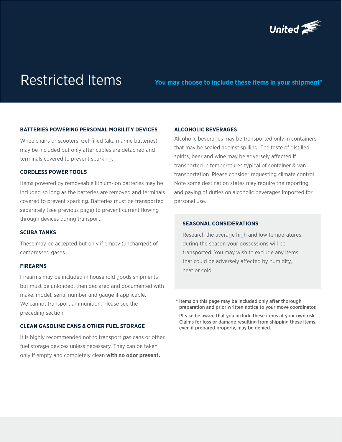

# Restricted Items **You may choose to include these items in your shipment\***

### **BATTERIES POWERING PERSONAL MOBILITY DEVICES**

Wheelchairs or scooters. Gel-filled (aka marine batteries) may be included but only after cables are detached and terminals covered to prevent sparking.

### **CORDLESS POWER TOOLS**

Items powered by removeable lithium-ion batteries may be included so long as the batteries are removed and terminals covered to prevent sparking. Batteries must be transported separately (see previous page) to prevent current flowing through devices during transport.

### **SCUBA TANKS**

These may be accepted but only if empty (uncharged) of compressed gases.

### **FIREARMS**

Firearms may be included in household goods shipments but must be unloaded, then declared and documented with make, model, serial number and gauge if applicable. We cannot transport ammunition. Please see the preceding section.

# **CLEAN GASOLINE CANS & OTHER FUEL STORAGE**

It is highly recommended not to transport gas cans or other fuel storage devices unless necessary. They can be taken only if empty and completely clean **with no odor present.**

### **ALCOHOLIC BEVERAGES**

Alcoholic beverages may be transported only in containers that may be sealed against spilling. The taste of distilled spirits, beer and wine may be adversely affected if transported in temperatures typical of container & van transportation. Please consider requesting climate control. Note some destination states may require the reporting and paying of duties on alcoholic beverages imported for personal use.

## **SEASONAL CONSIDERATIONS**

Research the average high and low temperatures during the season your possessions will be transported. You may wish to exclude any items that could be adversely affected by humidity, heat or cold.

\* Items on this page may be included only after thorough preparation and prior written notice to your move coordinator.

 Please be aware that you include these items at your own risk. Claims for loss or damage resulting from shipping these items, even if prepared properly, may be denied.